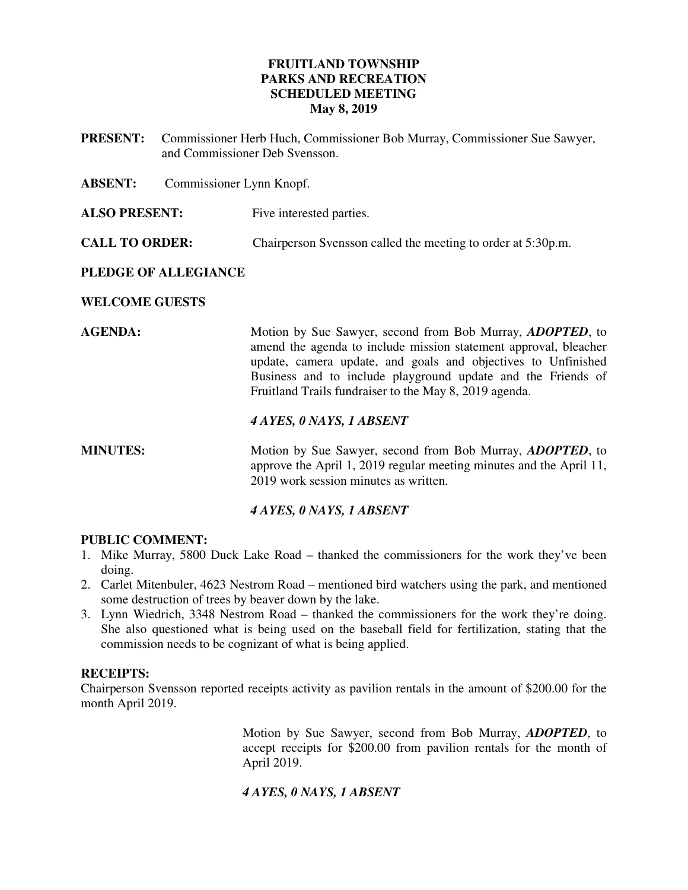### **FRUITLAND TOWNSHIP PARKS AND RECREATION SCHEDULED MEETING May 8, 2019**

**PRESENT:** Commissioner Herb Huch, Commissioner Bob Murray, Commissioner Sue Sawyer, and Commissioner Deb Svensson.

**ABSENT:** Commissioner Lynn Knopf.

**ALSO PRESENT:** Five interested parties.

**CALL TO ORDER:** Chairperson Svensson called the meeting to order at 5:30p.m.

### **PLEDGE OF ALLEGIANCE**

### **WELCOME GUESTS**

**AGENDA:** Motion by Sue Sawyer, second from Bob Murray, *ADOPTED*, to amend the agenda to include mission statement approval, bleacher update, camera update, and goals and objectives to Unfinished Business and to include playground update and the Friends of Fruitland Trails fundraiser to the May 8, 2019 agenda.

### *4 AYES, 0 NAYS, 1 ABSENT*

**MINUTES:** Motion by Sue Sawyer, second from Bob Murray, *ADOPTED*, to approve the April 1, 2019 regular meeting minutes and the April 11, 2019 work session minutes as written.

#### *4 AYES, 0 NAYS, 1 ABSENT*

#### **PUBLIC COMMENT:**

- 1. Mike Murray, 5800 Duck Lake Road thanked the commissioners for the work they've been doing.
- 2. Carlet Mitenbuler, 4623 Nestrom Road mentioned bird watchers using the park, and mentioned some destruction of trees by beaver down by the lake.
- 3. Lynn Wiedrich, 3348 Nestrom Road thanked the commissioners for the work they're doing. She also questioned what is being used on the baseball field for fertilization, stating that the commission needs to be cognizant of what is being applied.

#### **RECEIPTS:**

Chairperson Svensson reported receipts activity as pavilion rentals in the amount of \$200.00 for the month April 2019.

> Motion by Sue Sawyer, second from Bob Murray, *ADOPTED*, to accept receipts for \$200.00 from pavilion rentals for the month of April 2019.

#### *4 AYES, 0 NAYS, 1 ABSENT*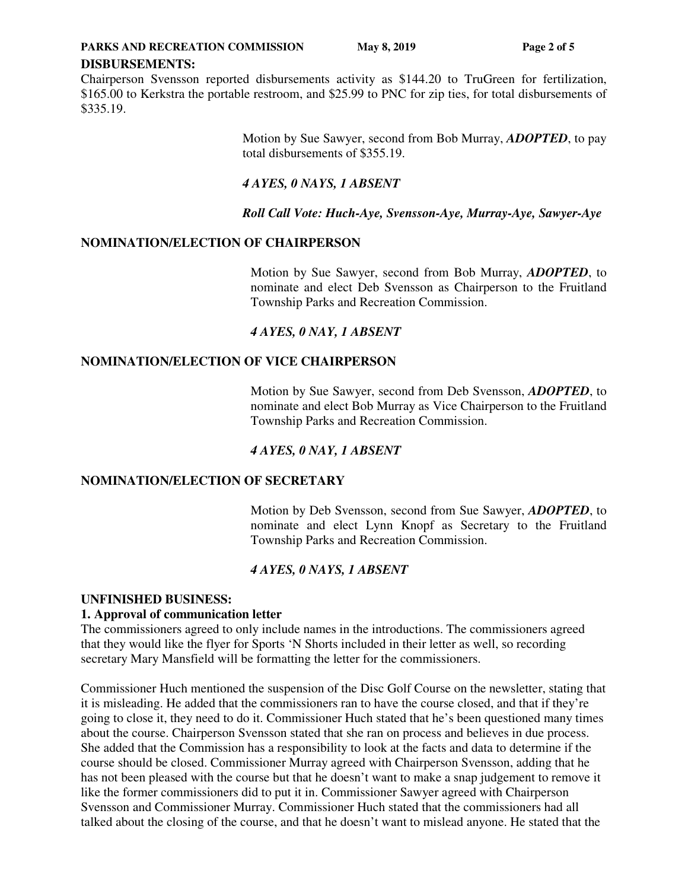**PARKS AND RECREATION COMMISSION** May 8, 2019 **Page 2 of 5** 

#### **DISBURSEMENTS:**

Chairperson Svensson reported disbursements activity as \$144.20 to TruGreen for fertilization, \$165.00 to Kerkstra the portable restroom, and \$25.99 to PNC for zip ties, for total disbursements of \$335.19.

> Motion by Sue Sawyer, second from Bob Murray, *ADOPTED*, to pay total disbursements of \$355.19.

### *4 AYES, 0 NAYS, 1 ABSENT*

*Roll Call Vote: Huch-Aye, Svensson-Aye, Murray-Aye, Sawyer-Aye*

### **NOMINATION/ELECTION OF CHAIRPERSON**

Motion by Sue Sawyer, second from Bob Murray, *ADOPTED*, to nominate and elect Deb Svensson as Chairperson to the Fruitland Township Parks and Recreation Commission.

### *4 AYES, 0 NAY, 1 ABSENT*

### **NOMINATION/ELECTION OF VICE CHAIRPERSON**

Motion by Sue Sawyer, second from Deb Svensson, *ADOPTED*, to nominate and elect Bob Murray as Vice Chairperson to the Fruitland Township Parks and Recreation Commission.

### *4 AYES, 0 NAY, 1 ABSENT*

#### **NOMINATION/ELECTION OF SECRETARY**

Motion by Deb Svensson, second from Sue Sawyer, *ADOPTED*, to nominate and elect Lynn Knopf as Secretary to the Fruitland Township Parks and Recreation Commission.

### *4 AYES, 0 NAYS, 1 ABSENT*

#### **UNFINISHED BUSINESS:**

#### **1. Approval of communication letter**

The commissioners agreed to only include names in the introductions. The commissioners agreed that they would like the flyer for Sports 'N Shorts included in their letter as well, so recording secretary Mary Mansfield will be formatting the letter for the commissioners.

Commissioner Huch mentioned the suspension of the Disc Golf Course on the newsletter, stating that it is misleading. He added that the commissioners ran to have the course closed, and that if they're going to close it, they need to do it. Commissioner Huch stated that he's been questioned many times about the course. Chairperson Svensson stated that she ran on process and believes in due process. She added that the Commission has a responsibility to look at the facts and data to determine if the course should be closed. Commissioner Murray agreed with Chairperson Svensson, adding that he has not been pleased with the course but that he doesn't want to make a snap judgement to remove it like the former commissioners did to put it in. Commissioner Sawyer agreed with Chairperson Svensson and Commissioner Murray. Commissioner Huch stated that the commissioners had all talked about the closing of the course, and that he doesn't want to mislead anyone. He stated that the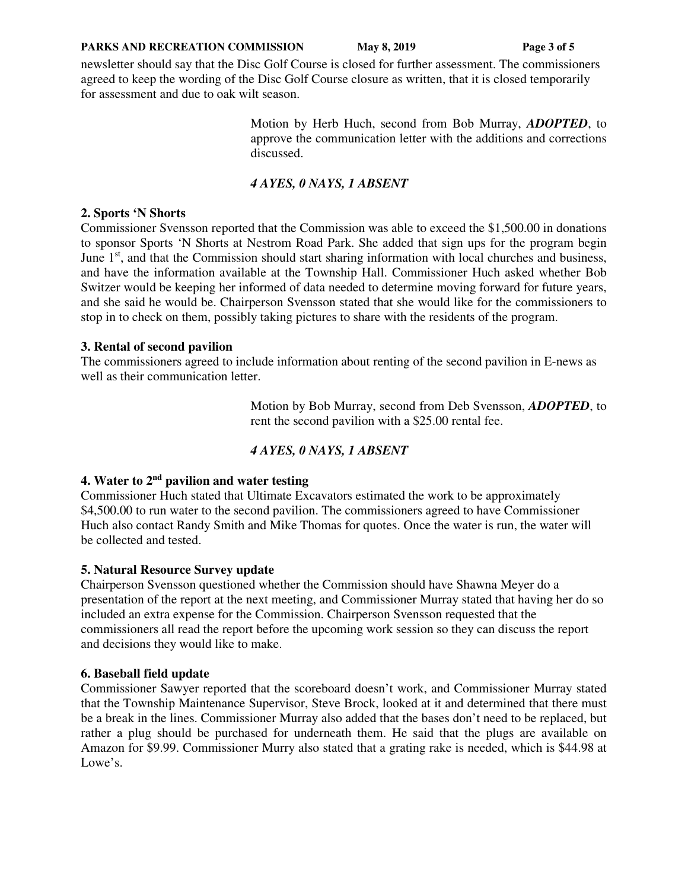#### **PARKS AND RECREATION COMMISSION** May 8, 2019 **Page 3 of 5**

newsletter should say that the Disc Golf Course is closed for further assessment. The commissioners agreed to keep the wording of the Disc Golf Course closure as written, that it is closed temporarily for assessment and due to oak wilt season.

> Motion by Herb Huch, second from Bob Murray, *ADOPTED*, to approve the communication letter with the additions and corrections discussed.

# *4 AYES, 0 NAYS, 1 ABSENT*

### **2. Sports 'N Shorts**

Commissioner Svensson reported that the Commission was able to exceed the \$1,500.00 in donations to sponsor Sports 'N Shorts at Nestrom Road Park. She added that sign ups for the program begin June  $1<sup>st</sup>$ , and that the Commission should start sharing information with local churches and business, and have the information available at the Township Hall. Commissioner Huch asked whether Bob Switzer would be keeping her informed of data needed to determine moving forward for future years, and she said he would be. Chairperson Svensson stated that she would like for the commissioners to stop in to check on them, possibly taking pictures to share with the residents of the program.

### **3. Rental of second pavilion**

The commissioners agreed to include information about renting of the second pavilion in E-news as well as their communication letter.

> Motion by Bob Murray, second from Deb Svensson, *ADOPTED*, to rent the second pavilion with a \$25.00 rental fee.

# *4 AYES, 0 NAYS, 1 ABSENT*

# **4. Water to 2nd pavilion and water testing**

Commissioner Huch stated that Ultimate Excavators estimated the work to be approximately \$4,500.00 to run water to the second pavilion. The commissioners agreed to have Commissioner Huch also contact Randy Smith and Mike Thomas for quotes. Once the water is run, the water will be collected and tested.

### **5. Natural Resource Survey update**

Chairperson Svensson questioned whether the Commission should have Shawna Meyer do a presentation of the report at the next meeting, and Commissioner Murray stated that having her do so included an extra expense for the Commission. Chairperson Svensson requested that the commissioners all read the report before the upcoming work session so they can discuss the report and decisions they would like to make.

### **6. Baseball field update**

Commissioner Sawyer reported that the scoreboard doesn't work, and Commissioner Murray stated that the Township Maintenance Supervisor, Steve Brock, looked at it and determined that there must be a break in the lines. Commissioner Murray also added that the bases don't need to be replaced, but rather a plug should be purchased for underneath them. He said that the plugs are available on Amazon for \$9.99. Commissioner Murry also stated that a grating rake is needed, which is \$44.98 at Lowe's.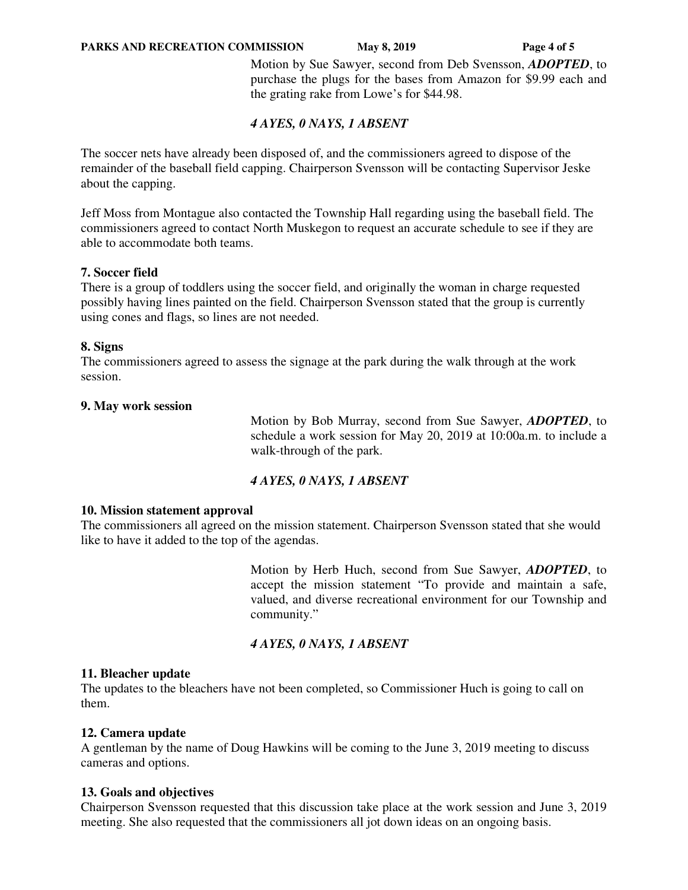#### **PARKS AND RECREATION COMMISSION** May 8, 2019 **Page 4 of 5**

 Motion by Sue Sawyer, second from Deb Svensson, *ADOPTED*, to purchase the plugs for the bases from Amazon for \$9.99 each and the grating rake from Lowe's for \$44.98.

### *4 AYES, 0 NAYS, 1 ABSENT*

The soccer nets have already been disposed of, and the commissioners agreed to dispose of the remainder of the baseball field capping. Chairperson Svensson will be contacting Supervisor Jeske about the capping.

Jeff Moss from Montague also contacted the Township Hall regarding using the baseball field. The commissioners agreed to contact North Muskegon to request an accurate schedule to see if they are able to accommodate both teams.

#### **7. Soccer field**

There is a group of toddlers using the soccer field, and originally the woman in charge requested possibly having lines painted on the field. Chairperson Svensson stated that the group is currently using cones and flags, so lines are not needed.

### **8. Signs**

The commissioners agreed to assess the signage at the park during the walk through at the work session.

#### **9. May work session**

 Motion by Bob Murray, second from Sue Sawyer, *ADOPTED*, to schedule a work session for May 20, 2019 at 10:00a.m. to include a walk-through of the park.

### *4 AYES, 0 NAYS, 1 ABSENT*

#### **10. Mission statement approval**

The commissioners all agreed on the mission statement. Chairperson Svensson stated that she would like to have it added to the top of the agendas.

> Motion by Herb Huch, second from Sue Sawyer, *ADOPTED*, to accept the mission statement "To provide and maintain a safe, valued, and diverse recreational environment for our Township and community."

### *4 AYES, 0 NAYS, 1 ABSENT*

#### **11. Bleacher update**

The updates to the bleachers have not been completed, so Commissioner Huch is going to call on them.

#### **12. Camera update**

A gentleman by the name of Doug Hawkins will be coming to the June 3, 2019 meeting to discuss cameras and options.

#### **13. Goals and objectives**

Chairperson Svensson requested that this discussion take place at the work session and June 3, 2019 meeting. She also requested that the commissioners all jot down ideas on an ongoing basis.